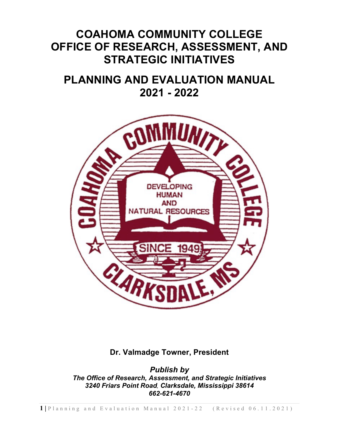# **COAHOMA COMMUNITY COLLEGE OFFICE OF RESEARCH, ASSESSMENT, AND STRATEGIC INITIATIVES**

# **PLANNING AND EVALUATION MANUAL 2021 - 2022**



**Dr. Valmadge Towner, President**

*Publish by The Office of Research, Assessment, and Strategic Initiatives 3240 Friars Point Road, Clarksdale, Mississippi 38614 662-621-4670*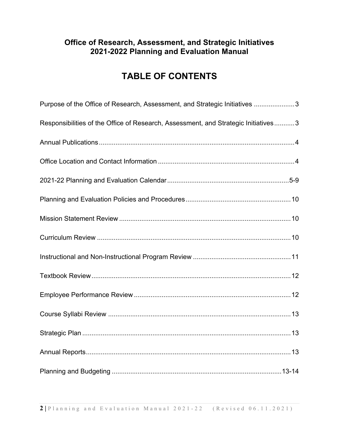## **TABLE OF CONTENTS**

| Purpose of the Office of Research, Assessment, and Strategic Initiatives 3         |
|------------------------------------------------------------------------------------|
| Responsibilities of the Office of Research, Assessment, and Strategic Initiatives3 |
|                                                                                    |
|                                                                                    |
|                                                                                    |
|                                                                                    |
|                                                                                    |
|                                                                                    |
|                                                                                    |
|                                                                                    |
|                                                                                    |
|                                                                                    |
|                                                                                    |
|                                                                                    |
|                                                                                    |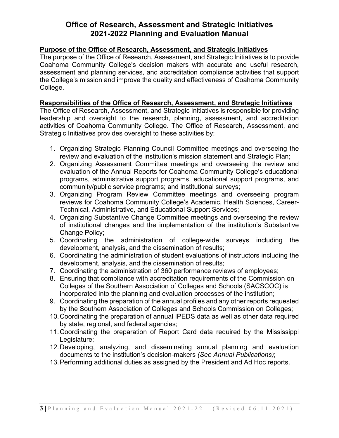#### **Purpose of the Office of Research, Assessment, and Strategic Initiatives**

The purpose of the Office of Research, Assessment, and Strategic Initiatives is to provide Coahoma Community College's decision makers with accurate and useful research, assessment and planning services, and accreditation compliance activities that support the College's mission and improve the quality and effectiveness of Coahoma Community College.

#### **Responsibilities of the Office of Research, Assessment, and Strategic Initiatives**

The Office of Research, Assessment, and Strategic Initiatives is responsible for providing leadership and oversight to the research, planning, assessment, and accreditation activities of Coahoma Community College. The Office of Research, Assessment, and Strategic Initiatives provides oversight to these activities by:

- 1. Organizing Strategic Planning Council Committee meetings and overseeing the review and evaluation of the institution's mission statement and Strategic Plan;
- 2. Organizing Assessment Committee meetings and overseeing the review and evaluation of the Annual Reports for Coahoma Community College's educational programs, administrative support programs, educational support programs, and community/public service programs; and institutional surveys;
- 3. Organizing Program Review Committee meetings and overseeing program reviews for Coahoma Community College's Academic, Health Sciences, Career-Technical, Administrative, and Educational Support Services;
- 4. Organizing Substantive Change Committee meetings and overseeing the review of institutional changes and the implementation of the institution's Substantive Change Policy;
- 5. Coordinating the administration of college-wide surveys including the development, analysis, and the dissemination of results;
- 6. Coordinating the administration of student evaluations of instructors including the development, analysis, and the dissemination of results;
- 7. Coordinating the administration of 360 performance reviews of employees;
- 8. Ensuring that compliance with accreditation requirements of the Commission on Colleges of the Southern Association of Colleges and Schools (SACSCOC) is incorporated into the planning and evaluation processes of the institution;
- 9. Coordinating the preparation of the annual profiles and any other reports requested by the Southern Association of Colleges and Schools Commission on Colleges;
- 10.Coordinating the preparation of annual IPEDS data as well as other data required by state, regional, and federal agencies;
- 11.Coordinating the preparation of Report Card data required by the Mississippi Legislature;
- 12.Developing, analyzing, and disseminating annual planning and evaluation documents to the institution's decision-makers *(See Annual Publications)*;
- 13.Performing additional duties as assigned by the President and Ad Hoc reports.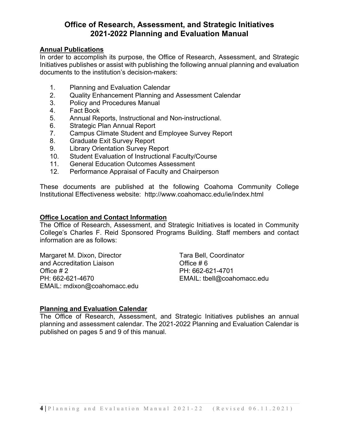#### **Annual Publications**

In order to accomplish its purpose, the Office of Research, Assessment, and Strategic Initiatives publishes or assist with publishing the following annual planning and evaluation documents to the institution's decision-makers:

- 1. Planning and Evaluation Calendar
- 2. Quality Enhancement Planning and Assessment Calendar
- 3. Policy and Procedures Manual
- 4. Fact Book
- 5. Annual Reports, Instructional and Non-instructional.
- 6. Strategic Plan Annual Report
- 7. Campus Climate Student and Employee Survey Report
- 8. Graduate Exit Survey Report
- 9. Library Orientation Survey Report
- 10. Student Evaluation of Instructional Faculty/Course
- 11. General Education Outcomes Assessment
- 12. Performance Appraisal of Faculty and Chairperson

These documents are published at the following Coahoma Community College Institutional Effectiveness website: http://www.coahomacc.edu/ie/index.html

#### **Office Location and Contact Information**

The Office of Research, Assessment, and Strategic Initiatives is located in Community College's Charles F. Reid Sponsored Programs Building. Staff members and contact information are as follows:

Margaret M. Dixon, Director Tara Bell, Coordinator and Accreditation Liaison **Contract Contract Contract Accreditation** Liaison Office # 2 PH: 662-621-4701 PH: 662-621-4670 EMAIL: tbell@coahomacc.edu EMAIL: mdixon@coahomacc.edu

#### **Planning and Evaluation Calendar**

The Office of Research, Assessment, and Strategic Initiatives publishes an annual planning and assessment calendar. The 2021-2022 Planning and Evaluation Calendar is published on pages 5 and 9 of this manual.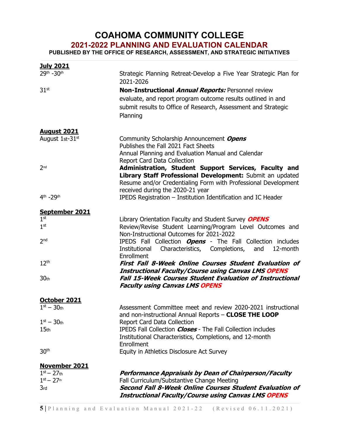## **COAHOMA COMMUNITY COLLEGE**

**2021-2022 PLANNING AND EVALUATION CALENDAR**

**PUBLISHED BY THE OFFICE OF RESEARCH, ASSESSMENT, AND STRATEGIC INITIATIVES**

| <u>July 2021</u>                  |                                                                                                               |
|-----------------------------------|---------------------------------------------------------------------------------------------------------------|
| 29th -30th                        | Strategic Planning Retreat-Develop a Five Year Strategic Plan for<br>2021-2026                                |
| 31 <sup>st</sup>                  | Non-Instructional Annual Reports: Personnel review                                                            |
|                                   | evaluate, and report program outcome results outlined in and                                                  |
|                                   | submit results to Office of Research, Assessment and Strategic                                                |
|                                   | Planning                                                                                                      |
| <u>August 2021</u>                |                                                                                                               |
| August 1st-31st                   | Community Scholarship Announcement Opens                                                                      |
|                                   | Publishes the Fall 2021 Fact Sheets                                                                           |
|                                   | Annual Planning and Evaluation Manual and Calendar<br><b>Report Card Data Collection</b>                      |
| 2 <sub>nd</sub>                   | Administration, Student Support Services, Faculty and                                                         |
|                                   | Library Staff Professional Development: Submit an updated                                                     |
|                                   | Resume and/or Credentialing Form with Professional Development                                                |
|                                   | received during the 2020-21 year                                                                              |
| 4 <sup>th</sup> -29 <sup>th</sup> | IPEDS Registration - Institution Identification and IC Header                                                 |
| September 2021                    |                                                                                                               |
| 1 <sup>st</sup>                   | Library Orientation Faculty and Student Survey OPENS                                                          |
| 1 <sup>st</sup>                   | Review/Revise Student Learning/Program Level Outcomes and                                                     |
| 2 <sub>nd</sub>                   | Non-Instructional Outcomes for 2021-2022<br>IPEDS Fall Collection <b>Opens</b> - The Fall Collection includes |
|                                   | Institutional<br>Characteristics, Completions, and<br>12-month                                                |
|                                   | Enrollment                                                                                                    |
| 12 <sup>th</sup>                  | <b>First Fall 8-Week Online Courses Student Evaluation of</b>                                                 |
|                                   | <b>Instructional Faculty/Course using Canvas LMS OPENS</b>                                                    |
| 30 <sub>th</sub>                  | <b>Fall 15-Week Courses Student Evaluation of Instructional</b>                                               |
|                                   | <b>Faculty using Canvas LMS OPENS</b>                                                                         |
| October 2021                      |                                                                                                               |
| $1st - 30th$                      | Assessment Committee meet and review 2020-2021 instructional                                                  |
|                                   | and non-instructional Annual Reports - CLOSE THE LOOP                                                         |
| $1st - 30th$<br>15 <sub>th</sub>  | <b>Report Card Data Collection</b><br>IPEDS Fall Collection <i>Closes</i> - The Fall Collection includes      |
|                                   | Institutional Characteristics, Completions, and 12-month                                                      |
|                                   | Enrollment                                                                                                    |
| 30 <sup>th</sup>                  | Equity in Athletics Disclosure Act Survey                                                                     |
| <b>November 2021</b>              |                                                                                                               |
| $1^{st} - 27$ th                  | Performance Appraisals by Dean of Chairperson/Faculty                                                         |
| $1^{st} - 27$ <sup>th</sup>       | Fall Curriculum/Substantive Change Meeting                                                                    |
| 3 <sub>rd</sub>                   | Second Fall 8-Week Online Courses Student Evaluation of                                                       |
|                                   | <b>Instructional Faculty/Course using Canvas LMS OPENS</b>                                                    |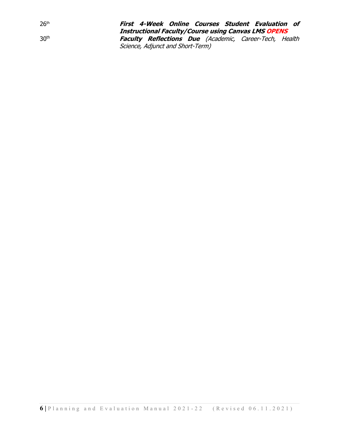26th **First 4-Week Online Courses Student Evaluation of Instructional Faculty/Course using Canvas LMS OPENS** 30th **Faculty Reflections Due** (Academic, Career-Tech, Health Science, Adjunct and Short-Term)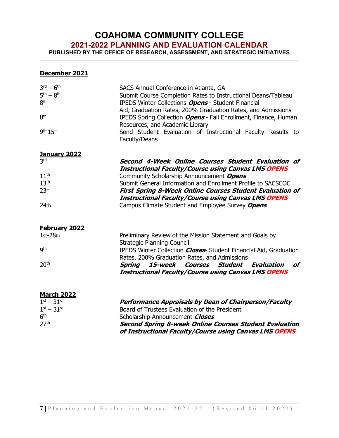## **COAHOMA COMMUNITY COLLEGE**

**2021-2022 PLANNING AND EVALUATION CALENDAR**

**PUBLISHED BY THE OFFICE OF RESEARCH, ASSESSMENT, AND STRATEGIC INITIATIVES**

#### **December 2021**

| $3rd - 6th$<br>$5th - 8th$<br>8 <sup>th</sup><br>8 <sup>th</sup><br>$9th-15th$ | SACS Annual Conference in Atlanta, GA<br>Submit Course Completion Rates to Instructional Deans/Tableau<br><b>IPEDS Winter Collections Opens - Student Financial</b><br>Aid, Graduation Rates, 200% Graduation Rates, and Admissions<br>IPEDS Spring Collection <b>Opens</b> - Fall Enrollment, Finance, Human<br>Resources, and Academic Library<br>Send Student Evaluation of Instructional Faculty Results to<br>Faculty/Deans |
|--------------------------------------------------------------------------------|----------------------------------------------------------------------------------------------------------------------------------------------------------------------------------------------------------------------------------------------------------------------------------------------------------------------------------------------------------------------------------------------------------------------------------|
| <b>January 2022</b><br><b>3rd</b>                                              | Second 4-Week Online Courses Student Evaluation of                                                                                                                                                                                                                                                                                                                                                                               |
|                                                                                | <b>Instructional Faculty/Course using Canvas LMS OPENS</b>                                                                                                                                                                                                                                                                                                                                                                       |
| 11 <sup>th</sup>                                                               | Community Scholarship Announcement Opens                                                                                                                                                                                                                                                                                                                                                                                         |
| 13 <sup>th</sup>                                                               | Submit General Information and Enrollment Profile to SACSCOC                                                                                                                                                                                                                                                                                                                                                                     |
| 23 <sup>rd</sup>                                                               | <b>First Spring 8-Week Online Courses Student Evaluation of</b>                                                                                                                                                                                                                                                                                                                                                                  |
|                                                                                | <b>Instructional Faculty/Course using Canvas LMS OPENS</b>                                                                                                                                                                                                                                                                                                                                                                       |
| 24th                                                                           | Campus Climate Student and Employee Survey Opens                                                                                                                                                                                                                                                                                                                                                                                 |
| <b>February 2022</b>                                                           |                                                                                                                                                                                                                                                                                                                                                                                                                                  |
| $1st-28th$                                                                     | Preliminary Review of the Mission Statement and Goals by                                                                                                                                                                                                                                                                                                                                                                         |
|                                                                                | <b>Strategic Planning Council</b>                                                                                                                                                                                                                                                                                                                                                                                                |
| <b>gth</b>                                                                     | IPEDS Winter Collection <b>Closes</b> Student Financial Aid, Graduation                                                                                                                                                                                                                                                                                                                                                          |
|                                                                                | Rates, 200% Graduation Rates, and Admissions                                                                                                                                                                                                                                                                                                                                                                                     |
| 20 <sup>th</sup>                                                               | 15-week<br><b>Courses</b><br><b>Student</b><br>of<br>Spring<br>Evaluation<br><b>Instructional Faculty/Course using Canvas LMS OPENS</b>                                                                                                                                                                                                                                                                                          |
|                                                                                |                                                                                                                                                                                                                                                                                                                                                                                                                                  |
| <b>March 2022</b><br>$1^{st} - 31^{st}$                                        | <b>Performance Appraisals by Dean of Chairperson/Faculty</b>                                                                                                                                                                                                                                                                                                                                                                     |
| $1^{st} - 31^{st}$                                                             | Board of Trustees Evaluation of the President                                                                                                                                                                                                                                                                                                                                                                                    |
| 6 <sup>th</sup>                                                                | Scholarship Announcement Closes                                                                                                                                                                                                                                                                                                                                                                                                  |
| 27 <sup>th</sup>                                                               | Second Spring 8-week Online Courses Student Evaluation                                                                                                                                                                                                                                                                                                                                                                           |

**Second Spring 8-week Online Courses Student Evaluation of Instructional Faculty/Course using Canvas LMS OPENS**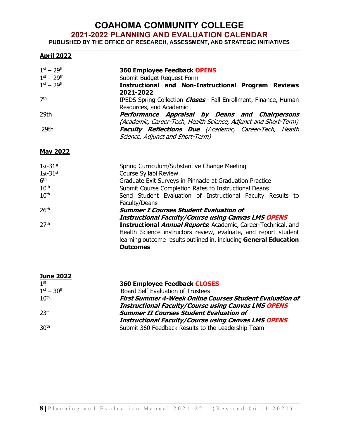## **COAHOMA COMMUNITY COLLEGE**

#### **2021-2022 PLANNING AND EVALUATION CALENDAR**

**PUBLISHED BY THE OFFICE OF RESEARCH, ASSESSMENT, AND STRATEGIC INITIATIVES**

#### **April 2022**

| $1^{st} - 29^{th}$<br>$1^{st} - 29^{th}$ | <b>360 Employee Feedback OPENS</b><br>Submit Budget Request Form                                                                                                                                                                |
|------------------------------------------|---------------------------------------------------------------------------------------------------------------------------------------------------------------------------------------------------------------------------------|
| $1st - 29th$                             | <b>Instructional and Non-Instructional Program Reviews</b><br>2021-2022                                                                                                                                                         |
| 7 <sup>th</sup>                          | IPEDS Spring Collection <i>Closes</i> - Fall Enrollment, Finance, Human<br>Resources, and Academic                                                                                                                              |
| 29th                                     | Performance Appraisal by Deans and Chairpersons<br>(Academic, Career-Tech, Health Science, Adjunct and Short-Term)                                                                                                              |
| 29th                                     | Faculty Reflections Due (Academic, Career-Tech, Health<br>Science, Adjunct and Short-Term)                                                                                                                                      |
| <b>May 2022</b>                          |                                                                                                                                                                                                                                 |
| $1st-31st$                               | Spring Curriculum/Substantive Change Meeting                                                                                                                                                                                    |
| $1st-31st$<br>6 <sup>th</sup>            | Course Syllabi Review<br>Graduate Exit Surveys in Pinnacle at Graduation Practice                                                                                                                                               |
| 10 <sup>th</sup>                         | Submit Course Completion Rates to Instructional Deans                                                                                                                                                                           |
| 10 <sup>th</sup>                         | Send Student Evaluation of Instructional Faculty Results to<br>Faculty/Deans                                                                                                                                                    |
| 26 <sup>th</sup>                         | <b>Summer I Courses Student Evaluation of</b>                                                                                                                                                                                   |
|                                          | <b>Instructional Faculty/Course using Canvas LMS OPENS</b>                                                                                                                                                                      |
| 27 <sup>th</sup>                         | <b>Instructional Annual Reports:</b> Academic, Career-Technical, and<br>Health Science instructors review, evaluate, and report student<br>learning outcome results outlined in, including General Education<br><b>Outcomes</b> |

| <b>June 2022</b>   |                                                                 |
|--------------------|-----------------------------------------------------------------|
| 1 <sup>st</sup>    | <b>360 Employee Feedback CLOSES</b>                             |
| $1^{st} - 30^{th}$ | <b>Board Self Evaluation of Trustees</b>                        |
| 10 <sup>th</sup>   | <b>First Summer 4-Week Online Courses Student Evaluation of</b> |
|                    | <b>Instructional Faculty/Course using Canvas LMS OPENS</b>      |
| 23th               | <b>Summer II Courses Student Evaluation of</b>                  |
|                    | <b>Instructional Faculty/Course using Canvas LMS OPENS</b>      |
| 30 <sup>th</sup>   | Submit 360 Feedback Results to the Leadership Team              |
|                    |                                                                 |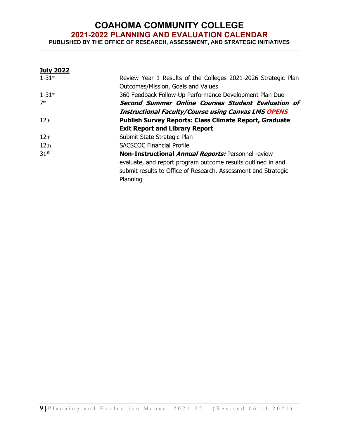## **COAHOMA COMMUNITY COLLEGE 2021-2022 PLANNING AND EVALUATION CALENDAR**

**PUBLISHED BY THE OFFICE OF RESEARCH, ASSESSMENT, AND STRATEGIC INITIATIVES**

| <b>July 2022</b> |                                                                                                      |
|------------------|------------------------------------------------------------------------------------------------------|
| $1 - 31$ st      | Review Year 1 Results of the Colleges 2021-2026 Strategic Plan<br>Outcomes/Mission, Goals and Values |
|                  |                                                                                                      |
| $1 - 31$ st      | 360 Feedback Follow-Up Performance Development Plan Due                                              |
| 7 <sup>th</sup>  | Second Summer Online Courses Student Evaluation of                                                   |
|                  | <b>Instructional Faculty/Course using Canvas LMS OPENS</b>                                           |
| 12 <sub>th</sub> | <b>Publish Survey Reports: Class Climate Report, Graduate</b>                                        |
|                  | <b>Exit Report and Library Report</b>                                                                |
| 12 <sub>th</sub> | Submit State Strategic Plan                                                                          |
| 12 <sub>th</sub> | <b>SACSCOC Financial Profile</b>                                                                     |
| 31 <sup>st</sup> | Non-Instructional Annual Reports: Personnel review                                                   |
|                  | evaluate, and report program outcome results outlined in and                                         |
|                  | submit results to Office of Research, Assessment and Strategic                                       |
|                  | Planning                                                                                             |
|                  |                                                                                                      |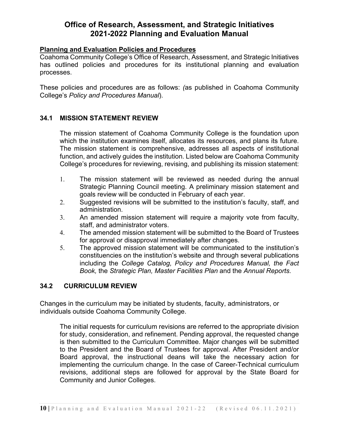#### **Planning and Evaluation Policies and Procedures**

Coahoma Community College's Office of Research, Assessment, and Strategic Initiatives has outlined policies and procedures for its institutional planning and evaluation processes.

These policies and procedures are as follows: *(*as published in Coahoma Community College's *Policy and Procedures Manual*).

#### **34.1 MISSION STATEMENT REVIEW**

The mission statement of Coahoma Community College is the foundation upon which the institution examines itself, allocates its resources, and plans its future. The mission statement is comprehensive, addresses all aspects of institutional function, and actively guides the institution. Listed below are Coahoma Community College's procedures for reviewing, revising, and publishing its mission statement:

- 1. The mission statement will be reviewed as needed during the annual Strategic Planning Council meeting. A preliminary mission statement and goals review will be conducted in February of each year.
- 2. Suggested revisions will be submitted to the institution's faculty, staff, and administration.
- 3. An amended mission statement will require a majority vote from faculty, staff, and administrator voters.
- 4. The amended mission statement will be submitted to the Board of Trustees for approval or disapproval immediately after changes.
- 5. The approved mission statement will be communicated to the institution's constituencies on the institution's website and through several publications including the *College Catalog, Policy and Procedures Manual, the Fact Book,* the *Strategic Plan, Master Facilities Plan* and the *Annual Reports.*

#### **34.2 CURRICULUM REVIEW**

Changes in the curriculum may be initiated by students, faculty, administrators, or individuals outside Coahoma Community College.

The initial requests for curriculum revisions are referred to the appropriate division for study, consideration, and refinement. Pending approval, the requested change is then submitted to the Curriculum Committee. Major changes will be submitted to the President and the Board of Trustees for approval. After President and/or Board approval, the instructional deans will take the necessary action for implementing the curriculum change. In the case of Career-Technical curriculum revisions, additional steps are followed for approval by the State Board for Community and Junior Colleges.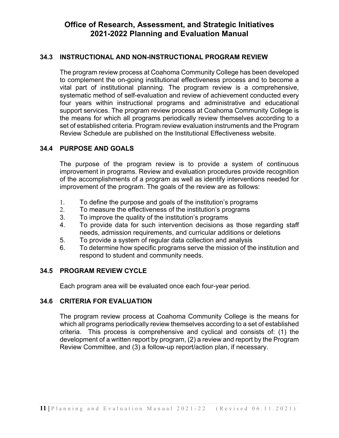#### **34.3 INSTRUCTIONAL AND NON-INSTRUCTIONAL PROGRAM REVIEW**

The program review process at Coahoma Community College has been developed to complement the on-going institutional effectiveness process and to become a vital part of institutional planning. The program review is a comprehensive, systematic method of self-evaluation and review of achievement conducted every four years within instructional programs and administrative and educational support services. The program review process at Coahoma Community College is the means for which all programs periodically review themselves according to a set of established criteria. Program review evaluation instruments and the Program Review Schedule are published on the Institutional Effectiveness website.

#### **34.4 PURPOSE AND GOALS**

The purpose of the program review is to provide a system of continuous improvement in programs. Review and evaluation procedures provide recognition of the accomplishments of a program as well as identify interventions needed for improvement of the program. The goals of the review are as follows:

- 1. To define the purpose and goals of the institution's programs
- 2. To measure the effectiveness of the institution's programs
- 3. To improve the quality of the institution's programs
- 4. To provide data for such intervention decisions as those regarding staff needs, admission requirements, and curricular additions or deletions
- 5. To provide a system of regular data collection and analysis
- 6. To determine how specific programs serve the mission of the institution and respond to student and community needs.

#### **34.5 PROGRAM REVIEW CYCLE**

Each program area will be evaluated once each four-year period.

#### **34.6 CRITERIA FOR EVALUATION**

The program review process at Coahoma Community College is the means for which all programs periodically review themselves according to a set of established criteria. This process is comprehensive and cyclical and consists of: (1) the development of a written report by program, (2) a review and report by the Program Review Committee, and (3) a follow-up report/action plan, if necessary.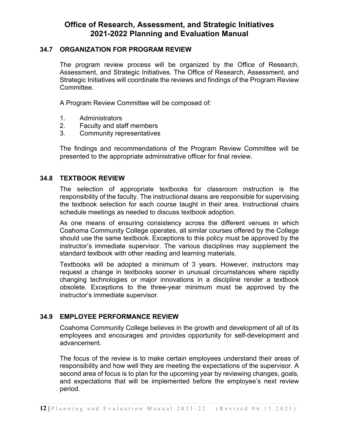#### **34.7 ORGANIZATION FOR PROGRAM REVIEW**

The program review process will be organized by the Office of Research, Assessment, and Strategic Initiatives. The Office of Research, Assessment, and Strategic Initiatives will coordinate the reviews and findings of the Program Review Committee.

A Program Review Committee will be composed of:

- 1. Administrators
- 2. Faculty and staff members
- 3. Community representatives

The findings and recommendations of the Program Review Committee will be presented to the appropriate administrative officer for final review.

#### **34.8 TEXTBOOK REVIEW**

The selection of appropriate textbooks for classroom instruction is the responsibility of the faculty. The instructional deans are responsible for supervising the textbook selection for each course taught in their area. Instructional chairs schedule meetings as needed to discuss textbook adoption.

As one means of ensuring consistency across the different venues in which Coahoma Community College operates, all similar courses offered by the College should use the same textbook. Exceptions to this policy must be approved by the instructor's immediate supervisor. The various disciplines may supplement the standard textbook with other reading and learning materials.

Textbooks will be adopted a minimum of 3 years. However, instructors may request a change in textbooks sooner in unusual circumstances where rapidly changing technologies or major innovations in a discipline render a textbook obsolete. Exceptions to the three-year minimum must be approved by the instructor's immediate supervisor.

#### **34.9 EMPLOYEE PERFORMANCE REVIEW**

Coahoma Community College believes in the growth and development of all of its employees and encourages and provides opportunity for self-development and advancement.

The focus of the review is to make certain employees understand their areas of responsibility and how well they are meeting the expectations of the supervisor. A second area of focus is to plan for the upcoming year by reviewing changes, goals, and expectations that will be implemented before the employee's next review period.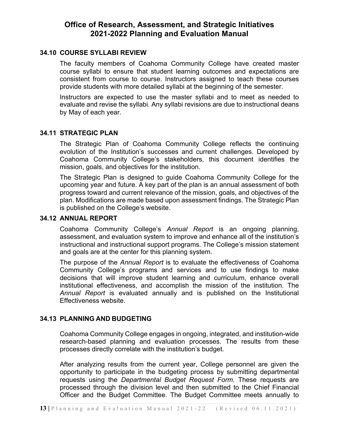#### **34.10 COURSE SYLLABI REVIEW**

The faculty members of Coahoma Community College have created master course syllabi to ensure that student learning outcomes and expectations are consistent from course to course. Instructors assigned to teach these courses provide students with more detailed syllabi at the beginning of the semester.

Instructors are expected to use the master syllabi and to meet as needed to evaluate and revise the syllabi. Any syllabi revisions are due to instructional deans by May of each year.

#### **34.11 STRATEGIC PLAN**

The Strategic Plan of Coahoma Community College reflects the continuing evolution of the Institution's successes and current challenges. Developed by Coahoma Community College's stakeholders, this document identifies the mission, goals, and objectives for the institution.

The Strategic Plan is designed to guide Coahoma Community College for the upcoming year and future. A key part of the plan is an annual assessment of both progress toward and current relevance of the mission, goals, and objectives of the plan. Modifications are made based upon assessment findings. The Strategic Plan is published on the College's website.

#### **34.12 ANNUAL REPORT**

Coahoma Community College's *Annual Report* is an ongoing planning, assessment, and evaluation system to improve and enhance all of the institution's instructional and instructional support programs. The College's mission statement and goals are at the center for this planning system.

The purpose of the *Annual Report* is to evaluate the effectiveness of Coahoma Community College's programs and services and to use findings to make decisions that will improve student learning and curriculum, enhance overall institutional effectiveness, and accomplish the mission of the institution. The *Annual Report* is evaluated annually and is published on the Institutional Effectiveness website.

#### **34.13 PLANNING AND BUDGETING**

Coahoma Community College engages in ongoing, integrated, and institution-wide research-based planning and evaluation processes. The results from these processes directly correlate with the institution's budget.

After analyzing results from the current year, College personnel are given the opportunity to participate in the budgeting process by submitting departmental requests using the *Departmental Budget Request Form*. These requests are processed through the division level and then submitted to the Chief Financial Officer and the Budget Committee. The Budget Committee meets annually to